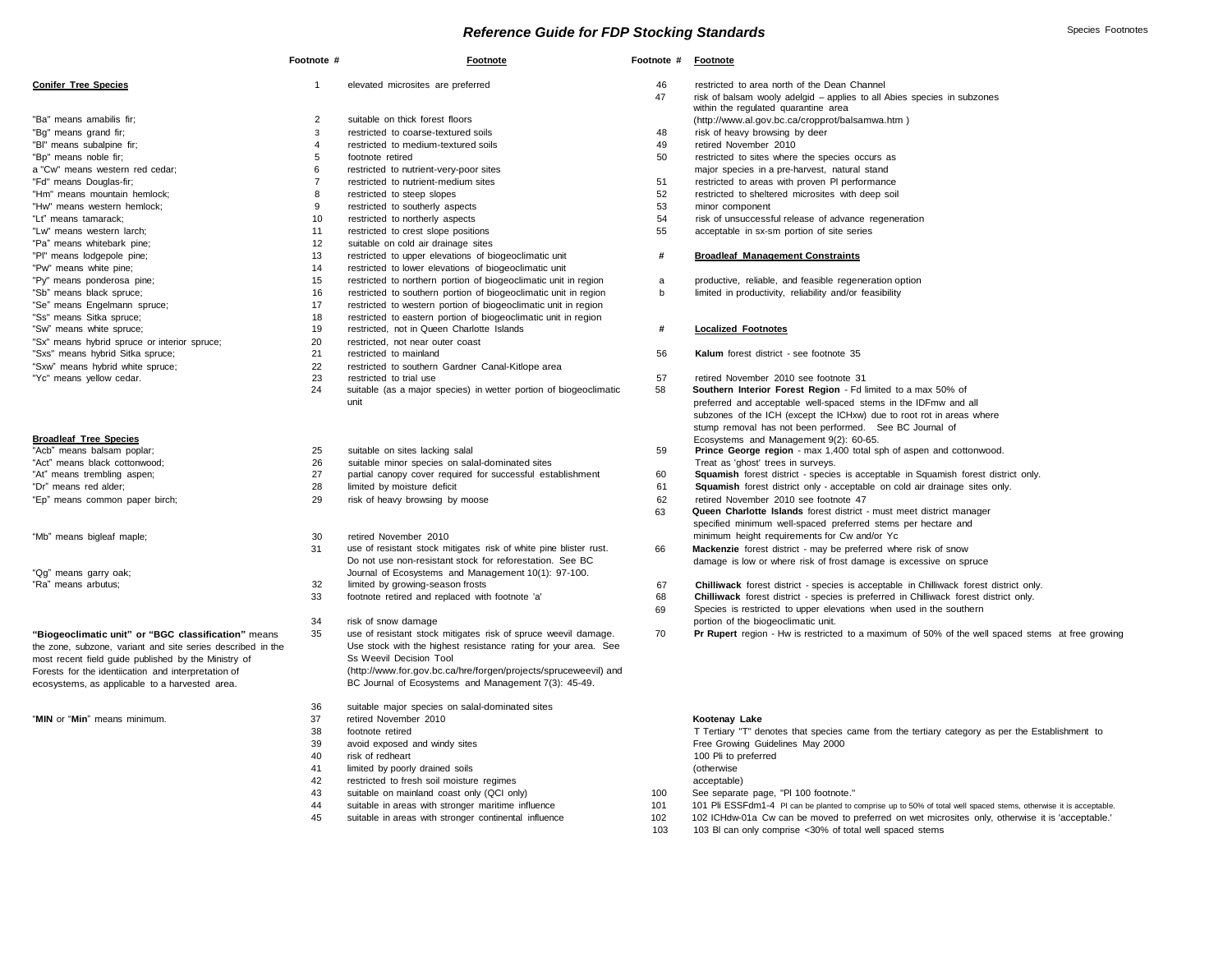### *Reference Guide for FDP Stocking Standards* **Species Footnotes** *Footnotes**Species Footnotes* **<b>Species** Footnotes

|                                                             | Footnote #     | Footnote                                                          | Footnote # | Footnote                                 |
|-------------------------------------------------------------|----------------|-------------------------------------------------------------------|------------|------------------------------------------|
| <b>Conifer Tree Species</b>                                 | $\mathbf{1}$   | elevated microsites are preferred                                 | 46         | restricted to area                       |
|                                                             |                |                                                                   | 47         | risk of balsam wo<br>within the regulate |
| "Ba" means amabilis fir;                                    | 2              | suitable on thick forest floors                                   |            | (http://www.al.gov                       |
| "Bq" means grand fir;                                       | 3              | restricted to coarse-textured soils                               | 48         | risk of heavy brov                       |
| "BI" means subalpine fir;                                   | 4              | restricted to medium-textured soils                               | 49         | retired November                         |
| "Bp" means noble fir;                                       | 5              | footnote retired                                                  | 50         | restricted to sites                      |
| a "Cw" means western red cedar;                             | 6              | restricted to nutrient-very-poor sites                            |            | major species in                         |
| "Fd" means Douglas-fir;                                     | $\overline{7}$ | restricted to nutrient-medium sites                               | 51         | restricted to area:                      |
| "Hm" means mountain hemlock;                                | 8              | restricted to steep slopes                                        | 52         | restricted to shelt                      |
| "Hw" means western hemlock;                                 | 9              | restricted to southerly aspects                                   | 53         | minor component                          |
| "Lt" means tamarack;                                        | 10             | restricted to northerly aspects                                   | 54         | risk of unsuccess                        |
| "Lw" means western larch;                                   | 11             | restricted to crest slope positions                               | 55         | acceptable in sx-s                       |
| "Pa" means whitebark pine;                                  | 12             | suitable on cold air drainage sites                               |            |                                          |
| "PI" means lodgepole pine;                                  | 13             | restricted to upper elevations of biogeoclimatic unit             | #          | <b>Broadleaf Manag</b>                   |
| "Pw" means white pine;                                      | 14             | restricted to lower elevations of biogeoclimatic unit             |            |                                          |
| "Py" means ponderosa pine;                                  | 15             | restricted to northern portion of biogeoclimatic unit in region   | a          | productive, reliabl                      |
| "Sb" means black spruce;                                    | 16             | restricted to southern portion of biogeoclimatic unit in region   | b          | limited in producti                      |
| "Se" means Engelmann spruce;                                | 17             |                                                                   |            |                                          |
|                                                             |                | restricted to western portion of biogeoclimatic unit in region    |            |                                          |
| "Ss" means Sitka spruce;<br>"Sw" means white spruce;        | 18<br>19       | restricted to eastern portion of biogeoclimatic unit in region    |            | Localized Footn                          |
|                                                             | 20             | restricted, not in Queen Charlotte Islands                        | #          |                                          |
| "Sx" means hybrid spruce or interior spruce;                |                | restricted, not near outer coast                                  |            |                                          |
| "Sxs" means hybrid Sitka spruce;                            | 21             | restricted to mainland                                            | 56         | Kalum forest dist                        |
| "Sxw" means hybrid white spruce;                            | 22             | restricted to southern Gardner Canal-Kitlope area                 |            |                                          |
| "Yc" means yellow cedar.                                    | 23             | restricted to trial use                                           | 57         | retired November                         |
|                                                             | 24             | suitable (as a major species) in wetter portion of biogeoclimatic | 58         | Southern Interior                        |
|                                                             |                | unit                                                              |            | preferred and acc                        |
|                                                             |                |                                                                   |            | subzones of the I                        |
|                                                             |                |                                                                   |            | stump removal ha                         |
| <b>Broadleaf Tree Species</b>                               |                |                                                                   |            | Ecosystems and                           |
| "Acb" means balsam poplar;                                  | 25             | suitable on sites lacking salal                                   | 59         | Prince George re                         |
| "Act" means black cottonwood;                               | 26             | suitable minor species on salal-dominated sites                   |            | Treat as 'ghost' tr                      |
| "At" means trembling aspen;                                 | 27             | partial canopy cover required for successful establishment        | 60         | Squamish forest                          |
| "Dr" means red alder;                                       | 28             | limited by moisture deficit                                       | 61         | <b>Squamish forest</b>                   |
| "Ep" means common paper birch;                              | 29             | risk of heavy browsing by moose                                   | 62         | retired November                         |
|                                                             |                |                                                                   | 63         | Queen Charlotte                          |
|                                                             |                |                                                                   |            | specified minimum                        |
| "Mb" means bigleaf maple;                                   | 30             | retired November 2010                                             |            | minimum height re                        |
|                                                             | 31             | use of resistant stock mitigates risk of white pine blister rust. | 66         | Mackenzie forest                         |
|                                                             |                | Do not use non-resistant stock for reforestation. See BC          |            | damage is low or                         |
| "Qg" means garry oak;                                       |                | Journal of Ecosystems and Management 10(1): 97-100.               |            |                                          |
| "Ra" means arbutus;                                         | 32             | limited by growing-season frosts                                  | 67         | Chilliwack forest                        |
|                                                             | 33             | footnote retired and replaced with footnote 'a'                   | 68         | Chilliwack forest                        |
|                                                             |                |                                                                   | 69         | Species is restrict                      |
|                                                             | 34             | risk of snow damage                                               |            | portion of the biod                      |
| "Biogeoclimatic unit" or "BGC classification" means         | 35             | use of resistant stock mitigates risk of spruce weevil damage.    | 70         | Pr Rupert region                         |
| the zone, subzone, variant and site series described in the |                | Use stock with the highest resistance rating for your area. See   |            |                                          |
| most recent field guide published by the Ministry of        |                | Ss Weevil Decision Tool                                           |            |                                          |
| Forests for the identiication and interpretation of         |                | (http://www.for.gov.bc.ca/hre/forgen/projects/spruceweevil) and   |            |                                          |
| ecosystems, as applicable to a harvested area.              |                | BC Journal of Ecosystems and Management 7(3): 45-49.              |            |                                          |

"**MIN** or "**Min**" means minimum. 37 retired November 2010 **Kootenay Lake**

- 36 suitable major species on salal-dominated sites<br>37 retired November 2010
- 
- 
- 
- 41 limited by poorly drained soils (otherwise
- 42 restricted to fresh soil moisture regimes acceptable)
- 
- 
- 

- restricted to area north of the Dean Channel
- risk of balsam wooly adelgid applies to all Abies species in subzones within the regulated quarantine area [\(http://www.al.gov.bc.ca/cropprot/balsamwa.htm](http://www.al.gov.bc.ca/cropprot/balsamwa.htm))
- risk of heavy browsing by deer
- retired November 2010
- restricted to sites where the species occurs as maior species in a pre-harvest, natural stand-
- restricted to areas with proven Pl performance
- restricted to sheltered microsites with deep soil
- 
- risk of unsuccessful release of advance regeneration
- acceptable in sx-sm portion of site series

### **Broadleaf Management Constraints**

- productive, reliable, and feasible regeneration option
- limited in productivity, reliability and/or feasibility

### **Localized Footnotes**

- Kalum forest district see footnote 35
- retired November 2010 see footnote 31
- 58 **Southern Interior Forest Region** Fd limited to a max 50% of preferred and acceptable well-spaced stems in the IDFmw and all subzones of the ICH (except the ICHxw) due to root rot in areas where stump removal has not been performed. See BC Journal of Ecosystems and Management 9(2): 60-65.
- Prince George region max 1,400 total sph of aspen and cottonwood. Treat as 'ghost' trees in surveys.
- Squamish forest district species is acceptable in Squamish forest district only.
- Squamish forest district only acceptable on cold air drainage sites only.
- retired November 2010 see footnote 47
- 63 **Queen Charlotte Islands** forest district must meet district manager specified minimum well-spaced preferred stems per hectare and minimum height requirements for Cw and/or Yc
- **Mackenzie** forest district may be preferred where risk of snow damage is low or where risk of frost damage is excessive on spruce
- Chilliwack forest district species is acceptable in Chilliwack forest district only.
- **Chilliwack** forest district species is preferred in Chilliwack forest district only.
- Species is restricted to upper elevations when used in the southern portion of the biogeoclimatic unit.
- 70 **Pr Rupert** region Hw is restricted to a maximum of 50% of the well spaced stems at free growing

38 footnote retired T Tertiary "T" denotes that species came from the tertiary category as per the Establishment to 39 avoid exposed and windy sites Free Growing Guidelines May 2000 40 risk of redheart 100 Pli to preferred 43 suitable on mainland coast only (QCI only) 100 See separate page, "Pl 100 footnote."

- 44 suitable in areas with stronger maritime influence 101 101 Pli ESSFdm1-4 Pl can be planted to comprise up to 50% of total well spaced stems, otherwise it is acceptable.<br>102 102 CHdw-01a Cw can be moved to preferred on w
	- suitable in areas with stronger continental influence 102 102 102 102 ICHdw-01a Cw can be moved to preferred on wet microsites only, otherwise it is 'acceptable.'
		- 103 103 Bl can only comprise <30% of total well spaced stems